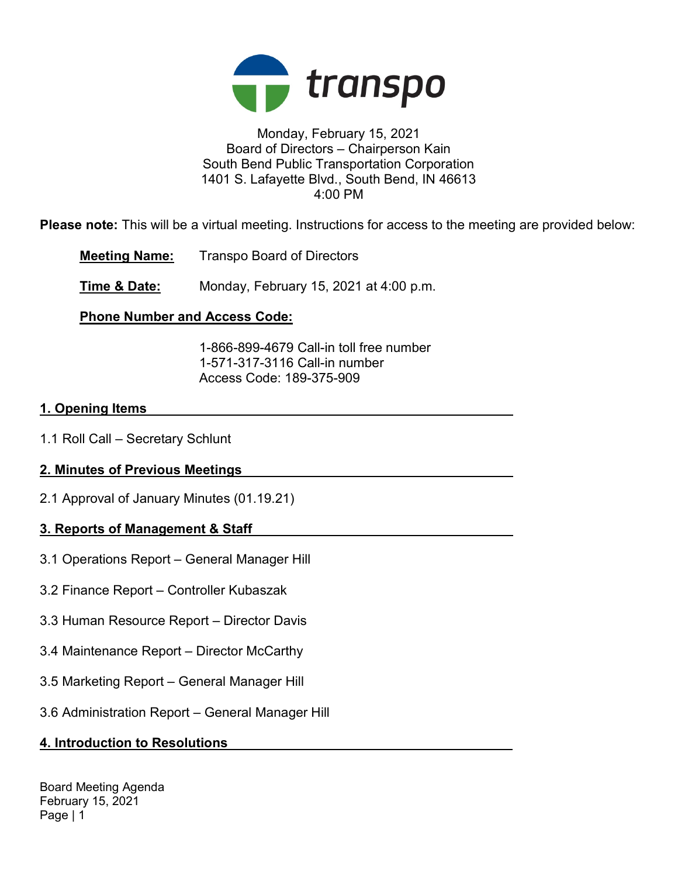

### Monday, February 15, 2021 Board of Directors – Chairperson Kain South Bend Public Transportation Corporation 1401 S. Lafayette Blvd., South Bend, IN 46613 4:00 PM

Please note: This will be a virtual meeting. Instructions for access to the meeting are provided below:

Meeting Name: Transpo Board of Directors

Time & Date: Monday, February 15, 2021 at 4:00 p.m.

# Phone Number and Access Code:

 1-866-899-4679 Call-in toll free number 1-571-317-3116 Call-in number Access Code: 189-375-909

## 1. Opening Items

1.1 Roll Call – Secretary Schlunt

# 2. Minutes of Previous Meetings

2.1 Approval of January Minutes (01.19.21)

# 3. Reports of Management & Staff

- 3.1 Operations Report General Manager Hill
- 3.2 Finance Report Controller Kubaszak
- 3.3 Human Resource Report Director Davis
- 3.4 Maintenance Report Director McCarthy
- 3.5 Marketing Report General Manager Hill
- 3.6 Administration Report General Manager Hill

# 4. Introduction to Resolutions

Board Meeting Agenda February 15, 2021 Page | 1